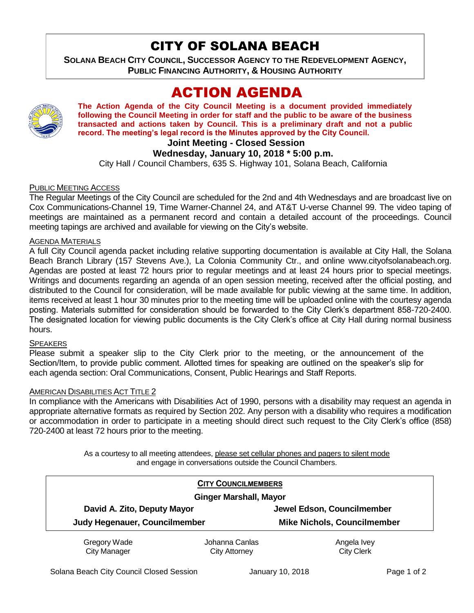## CITY OF SOLANA BEACH

**SOLANA BEACH CITY COUNCIL, SUCCESSOR AGENCY TO THE REDEVELOPMENT AGENCY, PUBLIC FINANCING AUTHORITY, & HOUSING AUTHORITY** 

# ACTION AGENDA



**The Action Agenda of the City Council Meeting is a document provided immediately following the Council Meeting in order for staff and the public to be aware of the business transacted and actions taken by Council. This is a preliminary draft and not a public record. The meeting's legal record is the Minutes approved by the City Council.**

## **Joint Meeting - Closed Session**

## **Wednesday, January 10, 2018 \* 5:00 p.m.**

City Hall / Council Chambers, 635 S. Highway 101, Solana Beach, California

#### PUBLIC MEETING ACCESS

The Regular Meetings of the City Council are scheduled for the 2nd and 4th Wednesdays and are broadcast live on Cox Communications-Channel 19, Time Warner-Channel 24, and AT&T U-verse Channel 99. The video taping of meetings are maintained as a permanent record and contain a detailed account of the proceedings. Council meeting tapings are archived and available for viewing on the City's website.

#### **AGENDA MATERIALS**

A full City Council agenda packet including relative supporting documentation is available at City Hall, the Solana Beach Branch Library (157 Stevens Ave.), La Colonia Community Ctr., and online www.cityofsolanabeach.org. Agendas are posted at least 72 hours prior to regular meetings and at least 24 hours prior to special meetings. Writings and documents regarding an agenda of an open session meeting, received after the official posting, and distributed to the Council for consideration, will be made available for public viewing at the same time. In addition, items received at least 1 hour 30 minutes prior to the meeting time will be uploaded online with the courtesy agenda posting. Materials submitted for consideration should be forwarded to the City Clerk's department 858-720-2400. The designated location for viewing public documents is the City Clerk's office at City Hall during normal business hours.

#### **SPEAKERS**

Please submit a speaker slip to the City Clerk prior to the meeting, or the announcement of the Section/Item, to provide public comment. Allotted times for speaking are outlined on the speaker's slip for each agenda section: Oral Communications, Consent, Public Hearings and Staff Reports.

#### **AMERICAN DISABILITIES ACT TITLE 2**

In compliance with the Americans with Disabilities Act of 1990, persons with a disability may request an agenda in appropriate alternative formats as required by Section 202. Any person with a disability who requires a modification or accommodation in order to participate in a meeting should direct such request to the City Clerk's office (858) 720-2400 at least 72 hours prior to the meeting.

> As a courtesy to all meeting attendees, please set cellular phones and pagers to silent mode and engage in conversations outside the Council Chambers.

| <b>CITY COUNCILMEMBERS</b><br><b>Ginger Marshall, Mayor</b> |                |                                    |
|-------------------------------------------------------------|----------------|------------------------------------|
|                                                             |                |                                    |
| Judy Hegenauer, Councilmember                               |                | <b>Mike Nichols, Councilmember</b> |
| Gregory Wade                                                | Johanna Canlas | Angela Ivey                        |
| <b>City Manager</b>                                         | City Attorney  | <b>City Clerk</b>                  |